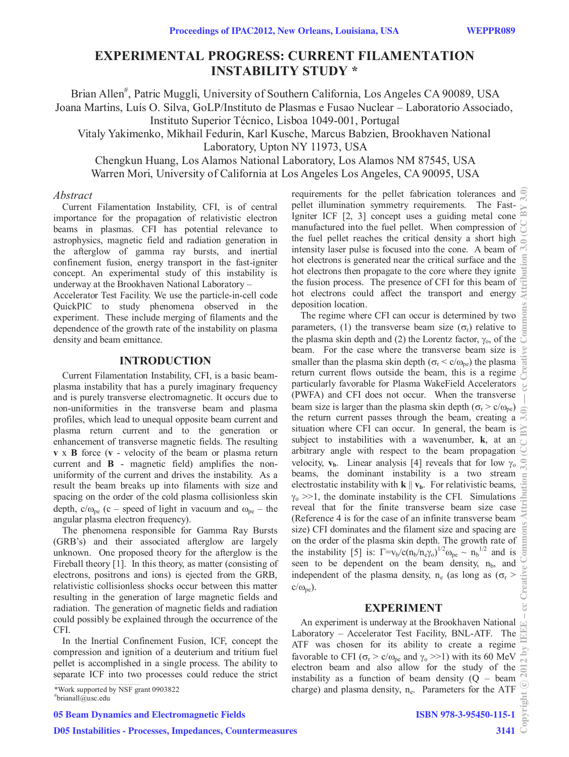# **EXPERIMENTAL PROGRESS: CURRENT FILAMENTATION INSTABILITY STUDY \***

Brian Allen<sup>#</sup>, Patric Muggli, University of Southern California, Los Angeles CA 90089, USA Joana Martins, Luís O. Silva, GoLP/Instituto de Plasmas e Fusao Nuclear – Laboratorio Associado, Instituto Superior Técnico, Lisboa 1049-001, Portugal

Vitaly Yakimenko, Mikhail Fedurin, Karl Kusche, Marcus Babzien, Brookhaven National Laboratory, Upton NY 11973, USA

Chengkun Huang, Los Alamos National Laboratory, Los Alamos NM 87545, USA Warren Mori, University of California at Los Angeles Los Angeles, CA 90095, USA

#### *Abstract*

Current Filamentation Instability, CFI, is of central importance for the propagation of relativistic electron beams in plasmas. CFI has potential relevance to astrophysics, magnetic field and radiation generation in the afterglow of gamma ray bursts, and inertial confinement fusion, energy transport in the fast-igniter concept. An experimental study of this instability is underway at the Brookhaven National Laboratory –

Accelerator Test Facility. We use the particle-in-cell code QuickPIC to study phenomena observed in the experiment. These include merging of filaments and the dependence of the growth rate of the instability on plasma density and beam emittance.

### **INTRODUCTION**

Current Filamentation Instability, CFI, is a basic beamplasma instability that has a purely imaginary frequency and is purely transverse electromagnetic. It occurs due to non-uniformities in the transverse beam and plasma profiles, which lead to unequal opposite beam current and plasma return current and to the generation or enhancement of transverse magnetic fields. The resulting **v** x **B** force (**v** - velocity of the beam or plasma return current and **B** - magnetic field) amplifies the nonuniformity of the current and drives the instability. As a result the beam breaks up into filaments with size and spacing on the order of the cold plasma collisionless skin depth,  $c/\omega_{pe}$  (c – speed of light in vacuum and  $\omega_{pe}$  – the angular plasma electron frequency).

The phenomena responsible for Gamma Ray Bursts (GRB's) and their associated afterglow are largely unknown. One proposed theory for the afterglow is the Fireball theory [1]. In this theory, as matter (consisting of electrons, positrons and ions) is ejected from the GRB, relativistic collisionless shocks occur between this matter resulting in the generation of large magnetic fields and radiation. The generation of magnetic fields and radiation could possibly be explained through the occurrence of the CFI.

In the Inertial Confinement Fusion, ICF, concept the compression and ignition of a deuterium and tritium fuel pellet is accomplished in a single process. The ability to separate ICF into two processes could reduce the strict

\*Work supported by NSF grant 0903822 #

05 Beam Dynamics and Electromagnetic Fields

D05 Instabilities - Processes, Impedances, Countermeasures

requirements for the pellet fabrication tolerances and pellet illumination symmetry requirements. The Fast-Igniter ICF [2, 3] concept uses a guiding metal cone manufactured into the fuel pellet. When compression of the fuel pellet reaches the critical density a short high intensity laser pulse is focused into the cone. A beam of hot electrons is generated near the critical surface and the hot electrons then propagate to the core where they ignite the fusion process. The presence of CFI for this beam of hot electrons could affect the transport and energy deposition location.

The regime where CFI can occur is determined by two parameters, (1) the transverse beam size  $(\sigma_r)$  relative to the plasma skin depth and (2) the Lorentz factor,  $\gamma_0$ , of the beam. For the case where the transverse beam size is smaller than the plasma skin depth ( $\sigma_r < c/\omega_{pe}$ ) the plasma return current flows outside the beam, this is a regime particularly favorable for Plasma WakeField Accelerators (PWFA) and CFI does not occur. When the transverse beam size is larger than the plasma skin depth ( $\sigma_r > c/\omega_{\text{ne}}$ ) the return current passes through the beam, creating a  $\frac{1}{\infty}$ situation where CFI can occur. In general, the beam is subject to instabilities with a wavenumber, **k**, at an arbitrary angle with respect to the beam propagation velocity,  $v_b$ . Linear analysis [4] reveals that for low  $\gamma_0$ beams, the dominant instability is a two stream electrostatic instability with  $\mathbf{k} \parallel \mathbf{v}_{\mathbf{b}}$ . For relativistic beams, electrostatic instability with  $\mathbf{k} \parallel \mathbf{v}_b$ . For relativistic beams,  $\gamma_0 \gg 1$ , the dominate instability is the CFI. Simulations reveal that for the finite transverse beam size case  $\frac{1}{2}$ (Reference 4 is for the case of an infinite transverse beam size) CFI dominates and the filament size and spacing are on the order of the plasma skin depth. The growth rate of the instability [5] is:  $\Gamma = v_b/c (n_b/n_e\gamma_o)^{1/2} \omega_{pe} \sim n_b^{1/2}$  and is seen to be dependent on the beam density,  $n_b$ , and independent of the plasma density, n<sub>e</sub> (as long as  $(\sigma_r >$  $c/\omega_{pe}$ ).

#### **EXPERIMENT**

An experiment is underway at the Brookhaven National Laboratory – Accelerator Test Facility, BNL-ATF. The ATF was chosen for its ability to create a regime favorable to CFI ( $\sigma_r > c/\omega_{pe}$  and  $\gamma_o >> 1$ ) with its 60 MeV electron beam and also allow for the study of the instability as a function of beam density  $(Q - \text{beam})$ charge) and plasma density, n<sub>e</sub>. Parameters for the ATF

 $*$ brianall@usc.edu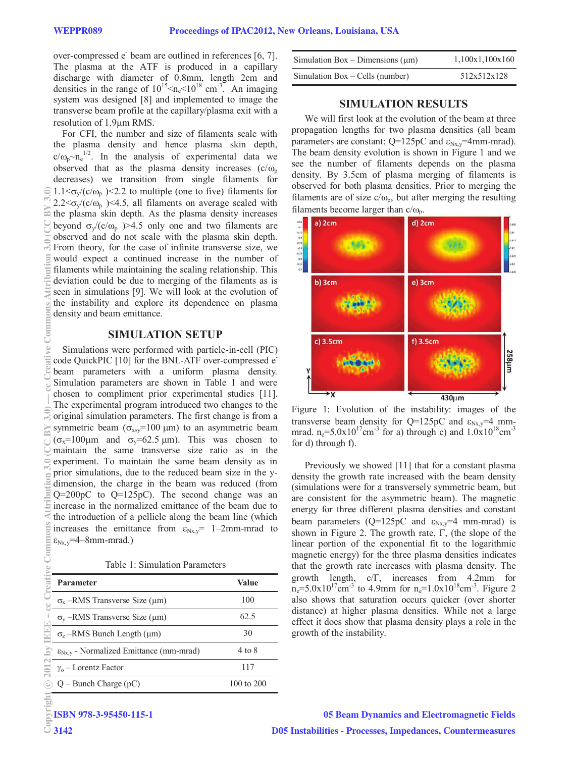over-compressed e<sup>-</sup> beam are outlined in references [6, 7]. The plasma at the ATF is produced in a capillary discharge with diameter of 0.8mm, length 2cm and densities in the range of  $10^{15}$  <ne s and  $10^{18}$  cm<sup>-3</sup>. An imaging system was designed [8] and implemented to image the transverse beam profile at the capillary/plasma exit with a resolution of 1.9um RMS.

For CFI, the number and size of filaments scale with the plasma density and hence plasma skin depth,  $c/\omega_p \sim n_e^{1/2}$ . In the analysis of experimental data we observed that as the plasma density increases  $(c/\omega_p)$ decreases) we transition from single filaments for  $1.1 \leq \sigma_{\rm v}/(c/\omega_{\rm n}) \leq 2.2$  to multiple (one to five) filaments for  $2.2 < \sigma_{\rm v}/(c/\omega_{\rm p}) < 4.5$ , all filaments on average scaled with the plasma skin depth. As the plasma density increases beyond  $\sigma_{\rm v}/(c/\omega_{\rm p}$  )>4.5 only one and two filaments are observed and do not scale with the plasma skin depth. From theory, for the case of infinite transverse size, we would expect a continued increase in the number of filaments while maintaining the scaling relationship. This deviation could be due to merging of the filaments as is seen in simulations [9]. We will look at the evolution of the instability and explore its dependence on plasma density and beam emittance.

#### **SIMULATION SETUP**

Simulations were performed with particle-in-cell (PIC) code QuickPIC [10] for the BNL-ATF over-compressed e<sup>-</sup> beam parameters with a uniform plasma density. Simulation parameters are shown in Table 1 and were chosen to compliment prior experimental studies [11]. The experimental program introduced two changes to the original simulation parameters. The first change is from a symmetric beam  $(\sigma_{x,y}=100 \mu m)$  to an asymmetric beam  $(\sigma_x=100\,\mu\text{m}$  and  $\sigma_y=62.5\,\mu\text{m}$ ). This was chosen to maintain the same transverse size ratio as in the experiment. To maintain the same beam density as in prior simulations, due to the reduced beam size in the ydimension, the charge in the beam was reduced (from Q=200pC to Q=125pC). The second change was an increase in the normalized emittance of the beam due to the introduction of a pellicle along the beam line (which increases the emittance from  $\varepsilon_{Nx,y}$ = 1–2mm-mrad to  $\varepsilon$ <sub>Nx,y</sub>=4–8mm-mrad.)

Table 1: Simulation Parameters

| Parameter                                          | Value      |
|----------------------------------------------------|------------|
| $\sigma_{\rm v}$ –RMS Transverse Size ( $\mu$ m)   | 100        |
| $\sigma_{v}$ –RMS Transverse Size ( $\mu$ m)       | 62.5       |
| $\sigma$ <sub>z</sub> –RMS Bunch Length ( $\mu$ m) | 30         |
| $\epsilon_{Nxy}$ - Normalized Emittance (mm-mrad)  | 4 to 8     |
| $\gamma_0$ – Lorentz Factor                        | 117        |
| $Q$ – Bunch Charge (pC)                            | 100 to 200 |

| Simulation Box – Dimensions $(\mu m)$ | 1,100x1,100x160 |
|---------------------------------------|-----------------|
| Simulation Box – Cells (number)       | 512x512x128     |

### **SIMULATION RESULTS**

We will first look at the evolution of the beam at three propagation lengths for two plasma densities (all beam parameters are constant:  $Q=125pC$  and  $\epsilon_{Nx,v}=4mm-mrad$ ). The beam density evolution is shown in Figure 1 and we see the number of filaments depends on the plasma density. By 3.5cm of plasma merging of filaments is observed for both plasma densities. Prior to merging the filaments are of size  $c/\omega_p$ , but after merging the resulting filaments become larger than  $c/\omega_p$ .



Figure 1: Evolution of the instability: images of the transverse beam density for Q=125pC and  $\varepsilon_{Nx,y}$ =4 mmmrad. n<sub>e</sub>=5.0x10<sup>17</sup>cm<sup>-3</sup> for a) through c) and  $1.0x10^{18}$ cm<sup>-3</sup> for d) through f).

Previously we showed [11] that for a constant plasma density the growth rate increased with the beam density (simulations were for a transversely symmetric beam, but are consistent for the asymmetric beam). The magnetic energy for three different plasma densities and constant beam parameters (Q=125pC and  $\varepsilon_{Nxy}=4$  mm-mrad) is shown in Figure 2. The growth rate,  $\Gamma$ , (the slope of the linear portion of the exponential fit to the logarithmic magnetic energy) for the three plasma densities indicates that the growth rate increases with plasma density. The growth length,  $c/\Gamma$ , increases from 4.2mm for  $n_e=5.0x10^{17}$ cm<sup>-3</sup> to 4.9mm for  $n_e=1.0x10^{18}$ cm<sup>-3</sup>. Figure 2 also shows that saturation occurs quicker (over shorter distance) at higher plasma densities. While not a large effect it does show that plasma density plays a role in the growth of the instability.

3142